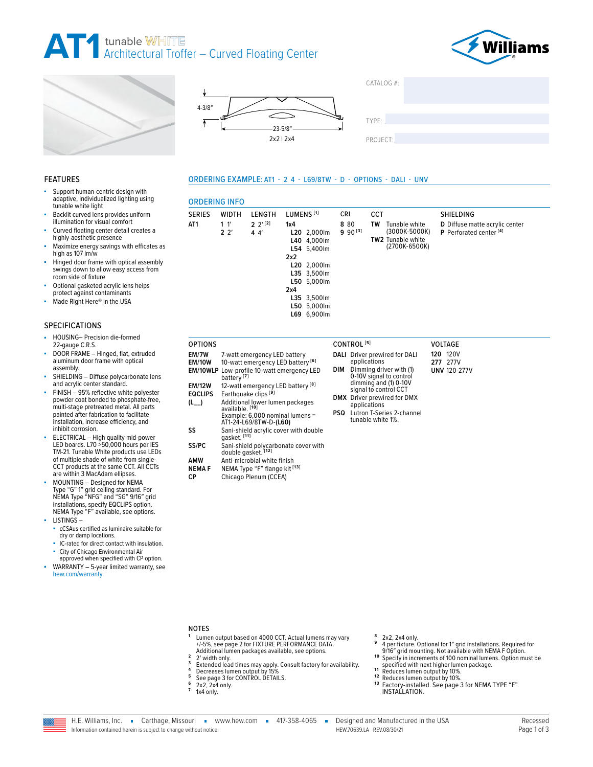







ORDERING EXAMPLE: AT1 - 2 4 - L69/8TW - D - OPTIONS - DALI - UNV



#### FEATURES

- Support human-centric design with adaptive, individualized lighting using tunable white light
- Backlit curved lens provides uniform illumination for visual comfort
- Curved floating center detail creates a highly-aesthetic presence
- Maximize energy savings with efficates as high as 107 lm/w
- Hinged door frame with optical assembly swings down to allow easy access from room side of fixture
- Optional gasketed acrylic lens helps protect against contaminants
- Made Right Here® in the USA

#### SPECIFICATIONS

- HOUSING- Precision die-formed 22-gauge C.R.S.
- DOOR FRAME Hinged, flat, extruded aluminum door frame with optical assembly.
- SHIELDING Diffuse polycarbonate lens and acrylic center standard.
- FINISH 95% reflective white polyester powder coat bonded to phosphate-free, multi-stage pretreated metal. All parts painted after fabrication to facilitate installation, increase efficiency, and inhibit corrosion.
- ELECTRICAL High quality mid-power LED boards. L70 >50,000 hours per IES TM-21. Tunable White products use LEDs of multiple shade of white from single-CCT products at the same CCT. All CCTs are within 3 MacAdam ellipses.
- MOUNTING Designed for NEMA Type "G" 1″ grid ceiling standard. For NEMA Type "NFG" and "SG" 9/16″ grid installations, specify EQCLIPS option. NEMA Type "F" available, see options. LISTINGS –
- cCSAus certified as luminaire suitable for dry or damp locations.
- IC-rated for direct contact with insulation.
- City of Chicago Environmental Air approved when specified with CP option.
- WARRANTY 5-year limited warranty, see [hew.com/warranty.](https://www.hew.com/resources/warranty-and-terms)

| <b>SERIES</b> | WIDTH               | LENGTH                  | LUMENS <sup>[1]</sup>                                                                                                                                    | <b>CRI</b>           | <b>CCT</b>                                                                        | <b>SHIELDING</b>                                                     |
|---------------|---------------------|-------------------------|----------------------------------------------------------------------------------------------------------------------------------------------------------|----------------------|-----------------------------------------------------------------------------------|----------------------------------------------------------------------|
| AT1           | 1 '<br>$2^{\prime}$ | $2 \frac{2}{12}$<br>44' | 1x4<br>L20 2,000lm<br>L40 4.000lm<br>L54 5.400lm<br>2x2<br>L20 2,000lm<br>L35 3,500lm<br>L50 5,000lm<br>2x4<br>L35 3,500lm<br>L50 5,000lm<br>L69 6,900lm | 8 8 0<br>$990^{[3]}$ | Tunable white<br>TW<br>(3000K-5000K)<br><b>TW2</b> Tunable white<br>(2700K-6500K) | D Diffuse matte acrylic center<br>P Perforated center <sup>[4]</sup> |

| <b>OPTIONS</b>                                |                                                                                                                                                                                                                   |            | CONTROL <sup>[5]</sup>                                                                                                                                                     | VOLTAGE                                              |
|-----------------------------------------------|-------------------------------------------------------------------------------------------------------------------------------------------------------------------------------------------------------------------|------------|----------------------------------------------------------------------------------------------------------------------------------------------------------------------------|------------------------------------------------------|
| EM/7W<br><b>EM/10W</b><br>EM/10WLP            | 7-watt emergency LED battery<br>10-watt emergency LED battery <sup>[6]</sup><br>Low-profile 10-watt emergency LED                                                                                                 | DIM        | DALI Driver prewired for DALI<br>applications<br>Dimming driver with (1)                                                                                                   | $120\lambda$<br>120<br>277<br>277<br><b>UNV 120-</b> |
| <b>EM/12W</b><br><b>EQCLIPS</b><br>$(L_{--})$ | battery <sup>[7]</sup><br>12-watt emergency LED battery <sup>[8]</sup><br>Earthquake clips [9]<br>Additional lower lumen packages<br>available. [10]<br>Example: 6,000 nominal lumens =<br>AT1-24-L69/8TW-D-(L60) | <b>PSQ</b> | 0-10V signal to control<br>dimming and (1) 0-10V<br>signal to control CCT<br>DMX Driver prewired for DMX<br>applications<br>Lutron T-Series 2-channel<br>tunable white 1%. |                                                      |
| SS                                            | Sani-shield acrylic cover with double<br>gasket. [11]                                                                                                                                                             |            |                                                                                                                                                                            |                                                      |
| SS/PC                                         | Sani-shield polycarbonate cover with<br>double gasket. <sup>[12]</sup>                                                                                                                                            |            |                                                                                                                                                                            |                                                      |
| <b>AMW</b><br>.                               | Anti-microbial white finish                                                                                                                                                                                       |            |                                                                                                                                                                            |                                                      |

#### **NEMA F** NEMA Type "F" flange kit **[13] Chicago Plenum (CCEA)**

# **UNV** 120-277V

**120** 120V **277** 277V

#### NOTES

- **<sup>1</sup>** Lumen output based on 4000 CCT. Actual lumens may vary +/-5%, [see page 2 for FIXTURE PERFORMANCE DATA](#page-1-0).
- 
- 2<br>
2<br>
2<br>
"Aridth only.<br>
3<br>
Extended lead times may apply. Consult factory for availability.<br>
4<br>
Decreases lumen output by 15%<br>
5<br>
5<br>
2x2, 2x4 only.<br>
7<br>
Tx4 only.
- 
- 
- 
- 

- **<sup>8</sup>** 2x2, 2x4 only. **<sup>9</sup>** 4 per fixture. Optional for 1″ grid installations. Required for
- 9/16" grid mounting. Not available with NEMA F Option.<br>
<sup>10</sup> Specify in increments of 100 nominal lumens. Option must be specified with next higher lumen package.
- 
- 
- specified with next higher lumen package. **1 1** Reduces lumen output by 10%. **1 2** Reduces lumen output by 10%. **1 3** Factory-installed. [See page 3 for NEMA TYPE "F"](#page-2-1)  [INSTALLATION.](#page-2-1)

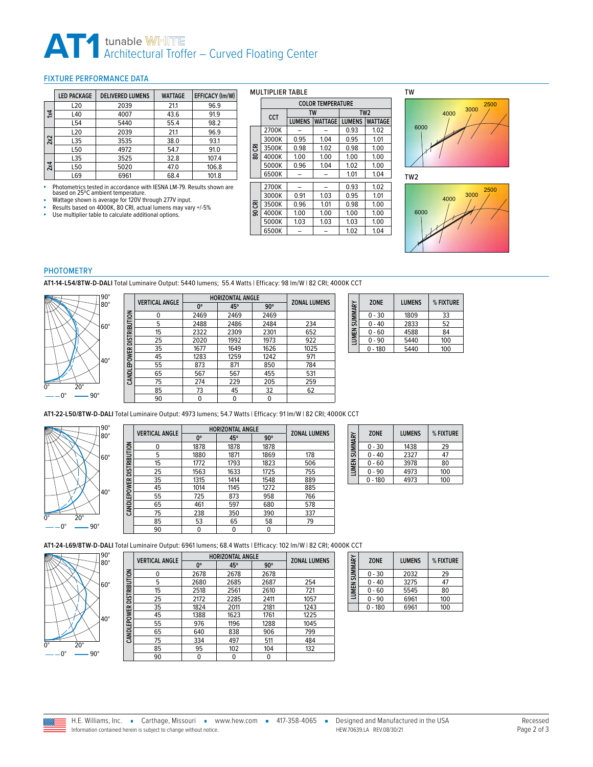## **AT1** tunable WHITE<br>Architectural Troffer – Curved Floating Center

#### <span id="page-1-0"></span>FIXTURE PERFORMANCE DATA

|     | <b>LED PACKAGE</b> | <b>DELIVERED LUMENS</b> | <b>WATTAGE</b> | EFFICACY (Im/W) |
|-----|--------------------|-------------------------|----------------|-----------------|
|     | L <sub>20</sub>    | 2039                    | 21.1           | 96.9            |
| 1×4 | L40                | 4007                    | 43.6           | 91.9            |
|     | L54                | 5440                    | 55.4           | 98.2            |
|     | L <sub>20</sub>    | 2039                    | 21.1           | 96.9            |
| 2x2 | L35                | 3535                    | 38.0           | 93.1            |
|     | L50                | 4972                    | 54.7           | 91.0            |
|     | L35                | 3525                    | 32.8           | 107.4           |
| 2x4 | L50                | 5020                    | 47.0           | 106.8           |
|     | L69                | 6961                    | 68.4           | 101.8           |

- Photometrics tested in accordance with IESNA LM-79. Results shown are<br>- based on 25°C ambient temperature.<br>- Wattage shown is average for 120V through 277V input.<br>- Results based on 4000K, 80 CRI, actual lumens may vary

- 
- 

#### ■ Use multiplier table to calculate additional options.

|     |            | <b>COLOR TEMPERATURE</b> |                |               |                 |
|-----|------------|--------------------------|----------------|---------------|-----------------|
|     | <b>CCT</b> |                          | <b>TW</b>      |               | TW <sub>2</sub> |
|     |            | <b>LUMENS</b>            | <b>WATTAGE</b> | <b>LUMENS</b> | <b>WATTAGE</b>  |
|     | 2700K      |                          |                | 0.93          | 1.02            |
|     | 3000K      | 0.95                     | 1.04           | 0.95          | 1.01            |
| 룡   | 3500K      | 0.98                     | 1.02           | 0.98          | 1.00            |
| ន្ល | 4000K      | 1.00                     | 1.00           | 1.00          | 1.00            |
|     | 5000K      | 0.96                     | 1.04           | 1.02          | 1.00            |
|     | 6500K      |                          |                | 1.01          | 1.04            |
|     | 2700K      |                          |                | 0.93          | 1.02            |
|     | 3000K      | 0.91                     | 1.03           | 0.95          | 1.01            |
| 룡   | 3500K      | 0.96                     | 1.01           | 0.98          | 1.00            |
| ഭ   | 4000K      | 1.00                     | 1.00           | 1.00          | 1.00            |
|     | 5000K      | 1.03                     | 1.03           | 1.03          | 1.00            |
|     | 6500K      |                          |                | 1.02          | 1.04            |

MULTIPLIER TABLE



TW2



#### PHOTOMETRY

**AT1-14-L54/8TW-D-DALI** Total Luminaire Output: 5440 lumens; 55.4 Watts | Efficacy: 98 lm/W | 82 CRI; 4000K CCT



|                          | <b>VERTICAL ANGLE</b> |      | <b>HORIZONTAL ANGLE</b> |            | <b>ZONAL LUMENS</b> |
|--------------------------|-----------------------|------|-------------------------|------------|---------------------|
|                          |                       | 0°   | 45°                     | $90^\circ$ |                     |
|                          | $\Omega$              | 2469 | 2469                    | 2469       |                     |
|                          | 5                     | 2488 | 2486                    | 2484       | 234                 |
|                          | 15                    | 2322 | 2309                    | 2301       | 652                 |
| CANDLEPOWER DISTRIBUTION | 25                    | 2020 | 1992                    | 1973       | 922                 |
|                          | 35                    | 1677 | 1649                    | 1626       | 1025                |
|                          | 45                    | 1283 | 1259                    | 1242       | 971                 |
|                          | 55                    | 873  | 871                     | 850        | 784                 |
|                          | 65                    | 567  | 567                     | 455        | 531                 |
|                          | 75                    | 274  | 229                     | 205        | 259                 |
|                          | 85                    | 73   | 45                      | 32         | 62                  |
|                          | 90                    | 0    | 0                       | 0          |                     |

| LUMEN SUMMARY | <b>ZONE</b> | <b>LUMENS</b> | % FIXTURE |
|---------------|-------------|---------------|-----------|
|               | $0 - 30$    | 1809          | 33        |
|               | $0 - 40$    | 2833          | 52        |
|               | $0 - 60$    | 4588          | 84        |
|               | $0 - 90$    | 5440          | 100       |
|               | $0 - 180$   | 5440          | 100       |

**AT1-22-L50/8TW-D-DALI** Total Luminaire Output: 4973 lumens; 54.7 Watts | Efficacy: 91 lm/W | 82 CRI; 4000K CCT



|                          | <b>VERTICAL ANGLE</b> |      | <b>HORIZONTAL ANGLE</b> |            | <b>ZONAL LUMENS</b> |
|--------------------------|-----------------------|------|-------------------------|------------|---------------------|
|                          |                       | 0°   | 45°                     | $90^\circ$ |                     |
|                          | 0                     | 1878 | 1878                    | 1878       |                     |
|                          | 5                     | 1880 | 1871                    | 1869       | 178                 |
| CANDLEPOWER DISTRIBUTION | 15                    | 1772 | 1793                    | 1823       | 506                 |
|                          | 25                    | 1563 | 1633                    | 1725       | 755                 |
|                          | 35                    | 1315 | 1414                    | 1548       | 889                 |
|                          | 45                    | 1014 | 1145                    | 1272       | 885                 |
|                          | 55                    | 725  | 873                     | 958        | 766                 |
|                          | 65                    | 461  | 597                     | 680        | 578                 |
|                          | 75                    | 238  | 350                     | 390        | 337                 |
|                          | 85                    | 53   | 65                      | 58         | 79                  |
|                          | 90                    | 0    | 0                       | 0          |                     |

| LUMEN SUMMARY | <b>ZONE</b> | <b>LUMENS</b> | % FIXTURE |
|---------------|-------------|---------------|-----------|
|               | $0 - 30$    | 1438          | 29        |
|               | $0 - 40$    | 2327          | 47        |
|               | $0 - 60$    | 3978          | 80        |
|               | $0 - 90$    | 4973          | 100       |
|               | $0 - 180$   | 4973          | 100       |

**AT1-24-L69/8TW-D-DALI** Total Luminaire Output: 6961 lumens; 68.4 Watts | Efficacy: 102 lm/W | 82 CRI; 4000K CCT



| <b>ZONAL LUMENS</b>          |
|------------------------------|
|                              |
|                              |
|                              |
|                              |
|                              |
|                              |
|                              |
|                              |
|                              |
|                              |
|                              |
|                              |
| 1057<br>1243<br>1225<br>1045 |

| LUMEN SUMMARY | <b>ZONE</b> | <b>LUMENS</b> | % FIXTURE |
|---------------|-------------|---------------|-----------|
|               | $0 - 30$    | 2032          | 29        |
|               | $0 - 40$    | 3275          | 47        |
|               | $0 - 60$    | 5545          | 80        |
|               | 0 - 90      | 6961          | 100       |
|               | $-180$      | 6961          | 100       |